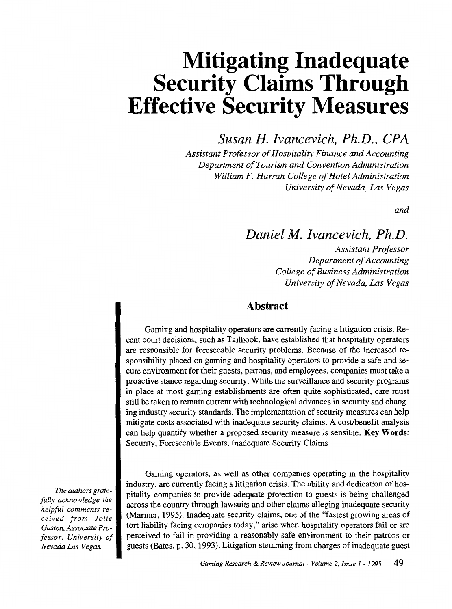# **Mitigating Inadequate Security Claims Through Effective Security Measures**

*Susan H. lvancevich, Ph.D., CPA* 

*Assistant Professor of Hospitality Finance and Accounting Department of Tourism and Convention Administration William F. Harrah College of Hotel Administration University of Nevada, Las Vegas* 

*and* 

# *Daniel M. lvancevich, Ph.D.*

*Assistant Professor Department of Accounting College of Business Administration University of Nevada, Las Vegas* 

### Abstract

Gaming and hospitality operators are currently facing a litigation crisis. Recent court decisions, such as Tailhook, have established that hospitality operators are responsible for foreseeable security problems. Because of the increased responsibility placed on gaming and hospitality operators to provide a safe and secure environment for their guests, patrons, and employees, companies must take a proactive stance regarding security. While the surveillance and security programs in place at most gaming establishments are often quite sophisticated, care must still be taken to remain current with technological advances in security and changing industry security standards. The implementation of security measures can help mitigate costs associated with inadequate security claims. A cost/benefit analysis can help quantify whether a proposed security measure is sensible. Key Words: Security, Foreseeable Events, Inadequate Security Claims

*The authors gratefully acknowledge the helpful comments received from folie Gaston, Associate Professor, University of Nevada Las Vegas.* 

Gaming operators, as well as other companies operating in the hospitality industry, are currently facing a litigation crisis. The ability and dedication of hospitality companies to provide adequate protection to guests is being challenged across the country through lawsuits and other claims alleging inadequate security (Mariner, 1995). Inadequate security claims, one ofthe "fastest growing areas of tort liability facing companies today," arise when hospitality operators fail or are perceived to fail in providing a reasonably safe environment to their patrons or guests (Bates, p. 30, 1993). Litigation stemming from charges of inadequate guest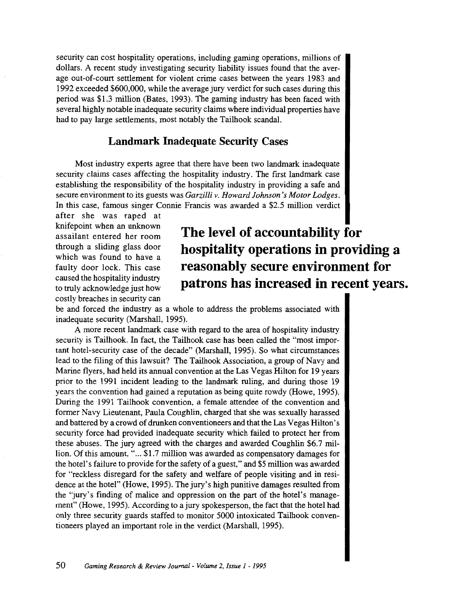security can cost hospitality operations, including gaming operations, millions of dollars. A recent study investigating security liability issues found that the average out-of-court settlement for violent crime cases between the years 1983 and 1992 exceeded \$600,000, while the average jury verdict for such cases during this period was \$1.3 million (Bates, 1993). The gaming industry has been faced with several highly notable inadequate security claims where individual properties have had to pay large settlements, most notably the Tailhook scandal.

### **Landmark Inadequate Security Cases**

Most industry experts agree that there have been two landmark inadequate security claims cases affecting the hospitality industry. The first landmark case establishing the responsibility of the hospitality industry in providing a safe and secure environment to its guests was *Garzilli v. Howard Johnson's Motor Lodges.*  In this case, famous singer Connie Francis was awarded a \$2.5 million verdict

after she was raped at knifepoint when an unknown assailant entered her room through a sliding glass door which was found to have a faulty door lock. This case caused the hospitality industry to truly acknowledge just how costly breaches in security can

# **The level of accountability for hospitality operations in providing a reasonably secure environment for patrons has increased in recent years.**

be and forced the industry as a whole to address the problems associated with inadequate security (Marshall, 1995).

A more recent landmark case with regard to the area of hospitality industry security is Tailhook. In fact, the Tailhook case has been called the "most important hotel-security case of the decade" (Marshall, 1995). So what circumstances lead to the filing of this lawsuit? The Tailhook Association, a group of Navy and Marine flyers, had held its annual convention at the Las Vegas Hilton for 19 years prior to the 1991 incident leading to the landmark ruling, and during those 19 years the convention had gained a reputation as being quite rowdy (Howe, 1995). During the 1991 Tailhook convention, a female attendee of the convention and former Navy Lieutenant, Paula Coughlin, charged that she was sexually harassed and battered by a crowd of drunken conventioneers and that the Las Vegas Hilton's security force had provided inadequate security which failed to protect her from these abuses. The jury agreed with the charges and awarded Coughlin \$6.7 million. Of this amount, "... \$1.7 million was awarded as compensatory damages for the hotel's failure to provide for the safety of a guest," and \$5 million was awarded for "reckless disregard for the safety and welfare of people visiting and in residence at the hotel" (Howe, 1995). The jury's high punitive damages resulted from the "jury's finding of malice and oppression on the part of the hotel's management" (Howe, 1995). According to a jury spokesperson, the fact that the hotel had only three security guards staffed to monitor 5000 intoxicated Tailhook conventioneers played an important role in the verdict (Marshall, 1995).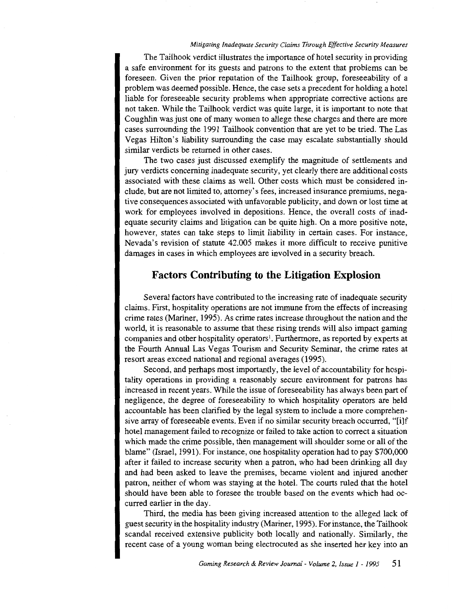#### *Mitigating Inadequate Security Claims Through Effective Security Measures*

The Tailhook verdict illustrates the importance of hotel security in providing a safe environment for its guests and patrons to the extent that problems can be foreseen. Given the prior reputation of the Tailhook group, foreseeability of a problem was deemed possible. Hence, the case sets a precedent for holding a hotel liable for foreseeable security problems when appropriate corrective actions are not taken. While the Tailhook verdict was quite large, it is important to note that Coughlin was just one of many women to allege these charges and there are more cases surrounding the 1991 Tailhook convention that are yet to be tried. The Las Vegas Hilton's liability surrounding the case may escalate substantially should similar verdicts be returned in other cases.

The two cases just discussed exemplify the magnitude of settlements and jury verdicts concerning inadequate security, yet clearly there are additional costs associated with these claims as well. Other costs which must be considered include, but are not limited to, attorney's fees, increased insurance premiums, negative consequences associated with unfavorable publicity, and down or lost time at work for employees involved in depositions. Hence, the overall costs of inadequate security claims and litigation can be quite high. On a more positive note, however, states can take steps to limit liability in certain cases. For instance, Nevada's revision of statute 42.005 makes it more difficult to receive punitive damages in cases in which employees are involved in a security breach.

#### **Factors Contributing to the Litigation Explosion**

Several factors have contributed to the increasing rate of inadequate security claims. First, hospitality operations are not immune from the effects of increasing crime rates (Mariner, 1995). As crime rates increase throughout the nation and the world, it is reasonable to assume that these rising trends will also impact gaming companies and other hospitality operators<sup>1</sup>. Furthermore, as reported by experts at the Fourth Annual Las Vegas Tourism and Security Seminar, the crime rates at resort areas exceed national and regional averages (1995).

Second, and perhaps most importantly, the level of accountability for hospitality operations in providing a reasonably secure environment for patrons has increased in recent years. While the issue of foreseeability has always been part of negligence, the degree of foreseeability to which hospitality operators are held accountable has been clarified by the legal system to include a more comprehensive array of foreseeable events. Even if no similar security breach occurred, "[i]f hotel management failed to recognize or failed to take action to correct a situation which made the crime possible, then management will shoulder some or all of the blame" (Israel, 1991). For instance, one hospitality operation had to pay \$700,000 after it failed to increase security when a patron, who had been drinking all day and had been asked to leave the premises, became violent and injured another patron, neither of whom was staying at the hotel. The courts ruled that the hotel should have been able to foresee the trouble based on the events which had occurred earlier in the day.

Third, the media has been giving increased attention to the alleged lack of guest security in the hospitality industry (Mariner, 1995). For instance, the Tailhook scandal received extensive publicity both locally and nationally. Similarly, the recent case of a young woman being electrocuted as she inserted her key into an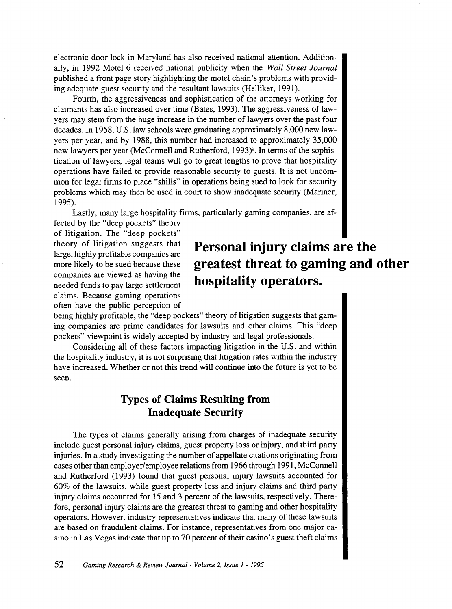electronic door lock in Maryland has also received national attention. Additionally, in 1992 Motel 6 received national publicity when the *Wall Street Journal*  published a front page story highlighting the motel chain's problems with providing adequate guest security and the resultant lawsuits (Helliker, 1991).

Fourth, the aggressiveness and sophistication of the attorneys working for claimants has also increased over time (Bates, 1993). The aggressiveness of lawyers may stem from the huge increase in the number of lawyers over the past four decades. In 1958, U.S.law schools were graduating approximately 8,000 new lawyers per year, and by 1988, this number had increased to approximately 35,000 new lawyers per year (McConnell and Rutherford, 1993)<sup>2</sup>. In terms of the sophistication of lawyers, legal teams will go to great lengths to prove that hospitality operations have failed to provide reasonable security to guests. It is not uncommon for legal firms to place "shills" in operations being sued to look for security problems which may then be used in court to show inadequate security (Mariner, 1995).

Lastly, many large hospitality firms, particularly gaming companies, are af-

fected by the "deep pockets" theory of litigation. The "deep pockets" theory of litigation suggests that large, highly profitable companies are more likely to be sued because these companies are viewed as having the needed funds to pay large settlement claims. Because gaming operations often have the public perception of

# **Personal injury claims are the greatest threat to gaming and other hospitality operators.**

being highly profitable, the "deep pockets" theory of litigation suggests that gaming companies are prime candidates for lawsuits and other claims. This "deep pockets" viewpoint is widely accepted by industry and legal professionals.

Considering all of these factors impacting litigation in the U.S. and within the hospitality industry, it is not surprising that litigation rates within the industry have increased. Whether or not this trend will continue into the future is yet to be seen.

# **Types of Claims Resulting from Inadequate Security**

The types of claims generally arising from charges of inadequate security include guest personal injury claims, guest property loss or injury, and third party injuries. In a study investigating the number of appellate citations originating from cases other than employer/employee relations from 1966 through 1991, McConnell and Rutherford (1993) found that guest personal injury lawsuits accounted for 60% of the lawsuits, while guest property loss and injury claims and third party injury claims accounted for 15 and 3 percent of the lawsuits, respectively. Therefore, personal injury claims are the greatest threat to gaming and other hospitality operators. However, industry representatives indicate that many of these lawsuits are based on fraudulent claims. For instance, representatives from one majorcasino in Las Vegas indicate that up to 70 percent of their casino's guest theft claims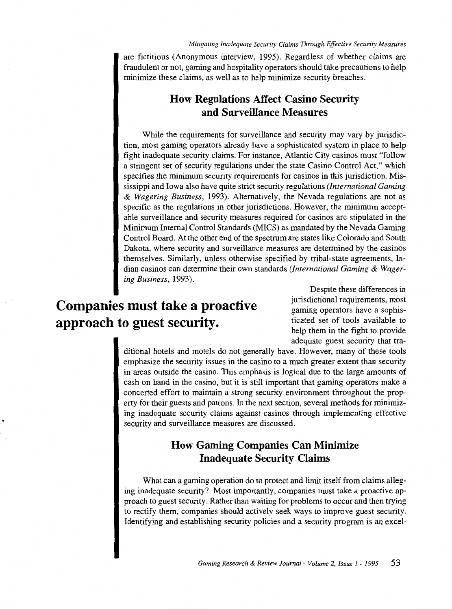are fictitious (Anonymous interview, 1995). Regardless of whether claims are fraudulent or not, gaming and hospitality operators should take precautions to help minimize these claims, as well as to help minimize security breaches.

# **How Regulations Affect Casino Security and Surveillance Measures**

While the requirements for surveillance and security may vary by jurisdiction, most gaming operators already have a sophisticated system in place to help fight inadequate security claims. For instance, Atlantic City casinos must "follow a stringent set of security regulations under the state Casino Control Act," which specifies the minimum security requirements for casinos in this jurisdiction. Mississippi and Iowa also have quite strict security regulations *(International Gaming*  & *Wagering Business,* 1993). Alternatively, the Nevada regulations are not as specific as the regulations in other jurisdictions. However, the minimum acceptable surveillance and security measures required for casinos are stipulated in the Minimum Internal Control Standards (MICS) as mandated by the Nevada Gaming Control Board. At the other end of the spectrum are states like Colorado and South Dakota, where security and surveillance measures are determined by the casinos themselves. Similarly, unless otherwise specified by tribal-state agreements, Indian casinos can determine their own standards *(International Gaming* & *Wagering Business,* 1993).

# **Companies must take a proactive approach to guest security.**

Despite these differences in jurisdictional requirements, most gaming operators have a sophisticated set of tools available to help them in the fight to provide adequate guest security that tra-

ditional hotels and motels do not generally have. However, many of these tools emphasize the security issues in the casino to a much greater extent than security in areas outside the casino. This emphasis is logical due to the large amounts of cash on hand in the casino, but it is still important that gaming operators make a concerted effort to maintain a strong security environment throughout the property for their guests and patrons. In the next section, several methods for minimizing inadequate security claims against casinos through implementing effective security and surveillance measures are discussed.

# **How Gaming Companies Can Minimize Inadequate Security Claims**

What can a gaming operation do to protect and limit itself from claims alleging inadequate security? Most importantly, companies must take a proactive approach to guest security. Rather than waiting for problems to occur and then trying to rectify them, companies should actively seek ways to improve guest security. Identifying and establishing security policies and a security program is an excel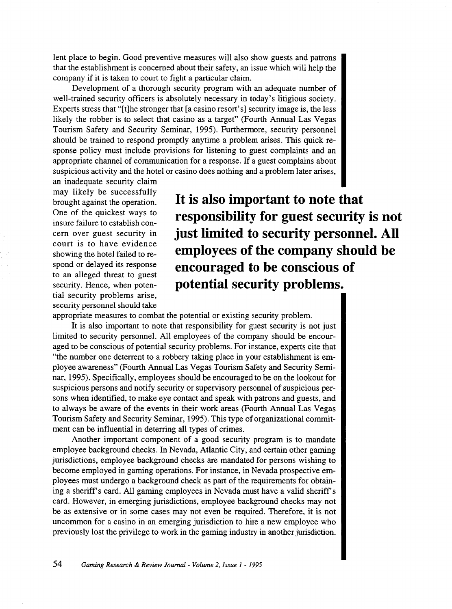lent place to begin. Good preventive measures will also show guests and patrons that the establishment is concerned about their safety, an issue which will help the company if it is taken to court to fight a particular claim.

Development of a thorough security program with an adequate number of well-trained security officers is absolutely necessary in today's litigious society. Experts stress that "[t]he stronger that [a casino resort's] security image is, the less likely the robber is to select that casino as a target" (Fourth Annual Las Vegas Tourism Safety and Security Seminar, 1995). Furthermore, security personnel should be trained to respond promptly anytime a problem arises. This quick response policy must include provisions for listening to guest complaints and an appropriate channel of communication for a response. If a guest complains about suspicious activity and the hotel or casino does nothing and a problem later arises,

an inadequate security claim may likely be successfully brought against the operation. One of the quickest ways to insure failure to establish concern over guest security in court is to have evidence showing the hotel failed to respond or delayed its response to an alleged threat to guest security. Hence, when potential security problems arise, security personnel should take

**It is also important to note that responsibility for guest security is not just limited to security personnel. All employees of the company should be encouraged to be conscious of potential security problems.** 

appropriate measures to combat the potential or existing security problem.

It is also important to note that responsibility for guest security is not just limited to security personnel. All employees of the company should be encouraged to be conscious of potential security problems. For instance, experts cite that "the number one deterrent to a robbery taking place in your establishment is employee awareness" (Fourth Annual Las Vegas Tourism Safety and Security Seminar, 1995). Specifically, employees should be encouraged to be on the lookout for suspicious persons and notify security or supervisory personnel of suspicious persons when identified, to make eye contact and speak with patrons and guests, and to always be aware of the events in their work areas (Fourth Annual Las Vegas Tourism Safety and Security Seminar, 1995). This type of organizational commitment can be influential in deterring all types of crimes.

Another important component of a good security program is to mandate employee background checks. In Nevada, Atlantic City, and certain other gaming jurisdictions, employee background checks are mandated for persons wishing to become employed in gaming operations. For instance, in Nevada prospective employees must undergo a background check as part of the requirements for obtaining a sheriff's card. All gaming employees in Nevada must have a valid sheriff's card. However, in emerging jurisdictions, employee background checks may not be as extensive or in some cases may not even be required. Therefore, it is not uncommon for a casino in an emerging jurisdiction to hire a new employee who previously lost the privilege to work in the gaming industry in another jurisdiction.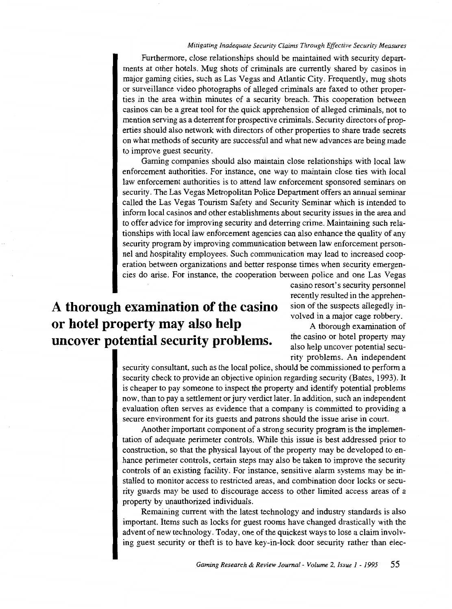#### *Mitigating Inadequate Security Claims Through Effective Security Measures*

Furthermore, close relationships should be maintained with security departments at other hotels. Mug shots of criminals are currently shared by casinos in major gaming cities, such as Las Vegas and Atlantic City. Frequently, mug shots or surveillance video photographs of alleged criminals are faxed to other properties in the area within minutes of a security breach. This cooperation between casinos can be a great tool for the quick apprehension of alleged criminals, not to mention serving as a deterrent for prospective criminals. Security directors of properties should also network with directors of other properties to share trade secrets on what methods of security are successful and what new advances are being made to improve guest security.

Gaming companies should also maintain close relationships with local law enforcement authorities. For instance, one way to maintain close ties with local law enforcement authorities is to attend law enforcement sponsored seminars on security. The Las Vegas Metropolitan Police Department offers an annual seminar called the Las Vegas Tourism Safety and Security Seminar which is intended to inform local casinos and other establishments about security issues in the area and to offer advice for improving security and deterring crime. Maintaining such relationships with local law enforcement agencies can also enhance the quality of any security program by improving communication between law enforcement personnel and hospitality employees. Such communication may lead to increased cooperation between organizations and better response times when security emergencies do arise. For instance, the cooperation between police and one Las Vegas

# **A thorough examination of the casino or hotel property may also help uncover potential security problems.**

casino resort's security personnel recently resulted in the apprehension of the suspects allegedly involved in a major cage robbery.

A thorough examination of the casino or hotel property may also help uncover potential security problems. An independent

security consultant, such as the local police, should be commissioned to perform a security check to provide an objective opinion regarding security (Bates, 1993). It is cheaper to pay someone to inspect the property and identify potential problems now, than to pay a settlement or jury verdict later. In addition, such an independent evaluation often serves as evidence that a company is committed to providing a secure environment for its guests and patrons should the issue arise in court.

Another important component of a strong security program is the implementation of adequate perimeter controls. While this issue is best addressed prior to construction, so that the physical layout of the property may be developed to enhance perimeter controls, certain steps may also be taken to improve the security controls of an existing facility. For instance, sensitive alarm systems may be installed to monitor access to restricted areas, and combination door locks or security guards may be used to discourage access to other limited access areas of a property by unauthorized individuals.

Remaining current with the latest technology and industry standards is also important. Items such as locks for guest rooms have changed drastically with the advent of new technology. Today, one of the quickest ways to lose a claim involving guest security or theft is to have key-in-lock door security rather than elec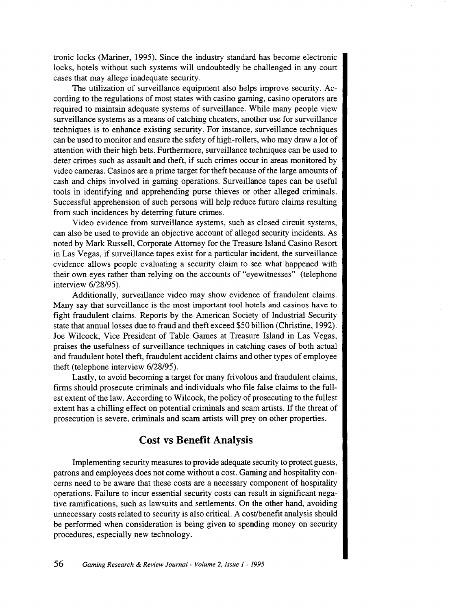tronic locks (Mariner, 1995). Since the industry standard has become electronic locks, hotels without such systems will undoubtedly be challenged in any court cases that may allege inadequate security.

The utilization of surveillance equipment also helps improve security. According to the regulations of most states with casino gaming, casino operators are required to maintain adequate systems of surveillance. While many people view surveillance systems as a means of catching cheaters, another use for surveillance techniques is to enhance existing security. For instance, surveillance techniques can be used to monitor and ensure the safety of high-rollers, who may draw a lot of attention with their high bets. Furthermore, surveillance techniques can be used to deter crimes such as assault and theft, if such crimes occur in areas monitored by video cameras. Casinos are a prime target for theft because of the large amounts of cash and chips involved in gaming operations. Surveillance tapes can be useful tools in identifying and apprehending purse thieves or other alleged criminals. Successful apprehension of such persons will help reduce future claims resulting from such incidences by deterring future crimes.

Video evidence from surveillance systems, such as closed circuit systems, can also be used to provide an objective account of alleged security incidents. As noted by Mark Russell, Corporate Attorney for the Treasure Island Casino Resort in Las Vegas, if surveillance tapes exist for a particular incident, the surveillance evidence allows people evaluating a security claim to see what happened with their own eyes rather than relying on the accounts of "eyewitnesses" (telephone interview 6/28/95).

Additionally, surveillance video may show evidence of fraudulent claims. Many say that surveillance is the most important tool hotels and casinos have to fight fraudulent claims. Reports by the American Society of Industrial Security state that annual losses due to fraud and theft exceed \$50 billion (Christine, 1992). Joe Wilcock, Vice President of Table Games at Treasure Island in Las Vegas, praises the usefulness of surveillance techniques in catching cases of both actual and fraudulent hotel theft, fraudulent accident claims and other types of employee theft (telephone interview 6/28/95).

Lastly, to avoid becoming a target for many frivolous and fraudulent claims, firms should prosecute criminals and individuals who file false claims to the fullest extent of the law. According to Wilcock, the policy of prosecuting to the fullest extent has a chilling effect on potential criminals and scam artists. If the threat of prosecution is severe, criminals and scam artists will prey on other properties.

#### **Cost vs Benefit Analysis**

Implementing security measures to provide adequate security to protect guests, patrons and employees does not come without a cost. Gaming and hospitality concerns need to be aware that these costs are a necessary component of hospitality operations. Failure to incur essential security costs can result in significant negative ramifications, such as lawsuits and settlements. On the other hand, avoiding unnecessary costs related to security is also critical. A cost/benefit analysis should be performed when consideration is being given to spending money on security procedures, especially new technology.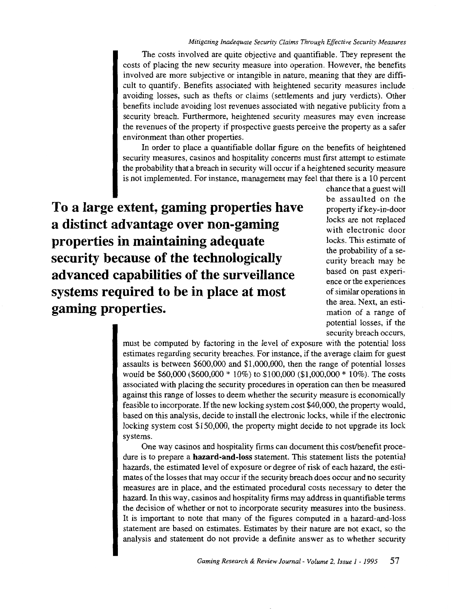The costs involved are quite objective and quantifiable. They represent the costs of placing the new security measure into operation. However, the benefits involved are more subjective or intangible in nature, meaning that they are difficult to quantify. Benefits associated with heightened security measures include avoiding losses, such as thefts or claims (settlements and jury verdicts). Other benefits include avoiding lost revenues associated with negative publicity from a security breach. Furthermore, heightened security measures may even increase the revenues of the property if prospective guests perceive the property as a safer environment than other properties.

In order to place a quantifiable dollar figure on the benefits of heightened security measures, casinos and hospitality concerns must first attempt to estimate the probability that a breach in security will occur if a heightened security measure is not implemented. For instance, management may feel that there is a 10 percent

**To a large extent, gaming properties have a distinct advantage over non-gaming properties in maintaining adequate security because of the technologically advanced capabilities of the surveillance systems required to be in place at most gaming properties.** 

chance that a guest will be assaulted on the property if key-in-door locks are not replaced with electronic door locks. This estimate of the probability of a security breach may be based on past experience or the experiences of similar operations in the area. Next, an estimation of a range of potential losses, if the security breach occurs,

must be computed by factoring in the level of exposure with the potential loss estimates regarding security breaches. For instance, if the average claim for guest assaults is between \$600,000 and \$1,000,000, then the range of potential losses would be \$60,000 (\$600,000 \* 10%) to \$100,000 (\$1,000,000 \* 10%). The costs associated with placing the security procedures in operation can then be measured against this range of losses to deem whether the security measure is economically feasible to incorporate. If the new locking system cost \$40,000, the property would, based on this analysis, decide to install the electronic locks, while if the electronic locking system cost \$150,000, the property might decide to not upgrade its lock systems.

One way casinos and hospitality firms can document this cost/benefit procedure is to prepare a **hazard-and-loss** statement. This statement lists the potential hazards, the estimated level of exposure or degree of risk of each hazard, the estimates of the losses that may occur if the security breach does occur and no security measures are in place, and the estimated procedural costs necessary to deter the hazard. In this way, casinos and hospitality firms may address in quantifiable terms the decision of whether or not to incorporate security measures into the business. It is important to note that many of the figures computed in a hazard-and-loss statement are based on estimates. Estimates by their nature are not exact, so the analysis and statement do not provide a definite answer as to whether security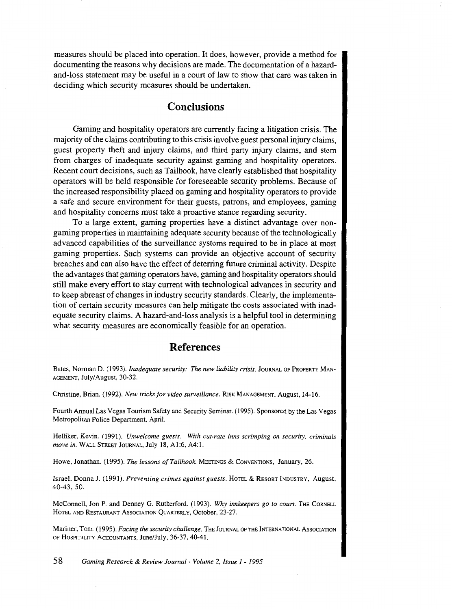measures should be placed into operation. It does, however, provide a method for documenting the reasons why decisions are made. The documentation of a hazardand-loss statement may be useful in a court of law to show that care was taken in deciding which security measures should be undertaken.

### **Conclusions**

Gaming and hospitality operators are currently facing a litigation crisis. The majority of the claims contributing to this crisis involve guest personal injury claims, guest property theft and injury claims, and third party injury claims, and stem from charges of inadequate security against gaming and hospitality operators. Recent court decisions, such as Tailhook, have clearly established that hospitality operators will be held responsible for foreseeable security problems. Because of the increased responsibility placed on gaming and hospitality operators to provide a safe and secure environment for their guests, patrons, and employees, gaming and hospitality concerns must take a proactive stance regarding security.

To a large extent, gaming properties have a distinct advantage over nongaming properties in maintaining adequate security because of the technologically advanced capabilities of the surveillance systems required to be in place at most gaming properties. Such systems can provide an objective account of security breaches and can also have the effect of deterring future criminal activity. Despite the advantages that gaming operators have, gaming and hospitality operators should still make every effort to stay current with technological advances in security and to keep abreast of changes in industry security standards. Clearly, the implementation of certain security measures can help mitigate the costs associated with inadequate security claims. A hazard-and-loss analysis is a helpful tool in determining what security measures are economically feasible for an operation.

### **References**

Bates, Norman D. (1993). *Inadequate security: The new liability crisis*. JOURNAL OF PROPERTY MAN-AGEMENT, July/August, 30-32.

Christine, Brian. ( 1992). *New tricks for video surveillance.* RISK MANAGEMENT, August, 14-16.

Fourth Annual Las Vegas Tourism Safety and Security Seminar. (1995). Sponsored by the Las Vegas Metropolitan Police Department, April.

Helliker. Kevin. (1991). *Unwelcome guests: With cut-rate inns scrimping on security, criminals move in.* WALL STREET JouRNAL, July 18, A1:6, A4:1.

Howe, Jonathan. (1995). *The lessons of Tailhook*. MEETINGS & CONVENTIONS, January, 26.

Israel, Donna J. (1991). *Preventing crimes against guests*. HOTEL & RESORT INDUSTRY, August, 40-43, 50.

McConnell, Jon P. and Denney G. Rutherford. (1993). *Why innkeepers go to court.* THE CORNELL HOTEL AND RESTAURANT ASSOCIATION QUARTERLY, October, 23-27.

Mariner, Tom. (1995). *Facing the security challenge.* THE JouRNAL OF THE INTERNATIONAL AssociATION OF HOSPITALITY ACCOUNTANTS, June/July, 36-37, 40-41.

58 *Gaming Research* & *Review Journal- Volume* 2, *Issue I- I995*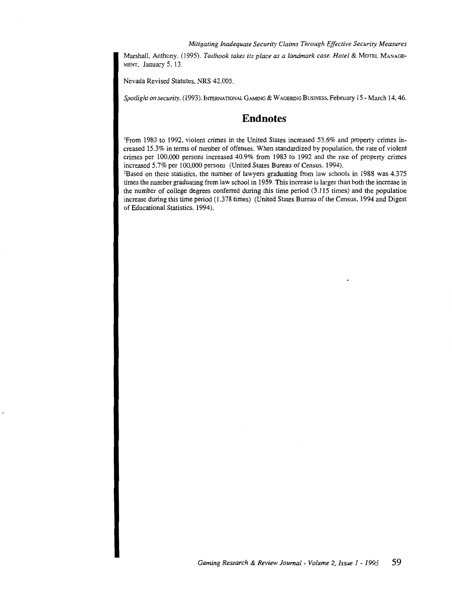Marshall, Anthony. (1995). *Tailhook takes its place as a landmark case. Hotel* & MoTEL MANAGE-MENT, January 5, 13.

Nevada Revised Statutes, NRS 42.005.

*Spotlight on security.* (1993). INTERNATIONAL GAMING & WAGERING BuSINESS, February 15- March 14, 46.

### **Endnotes**

'From 1983 to 1992, violent crimes in the United States increased 53.6% and property crimes increased 15.3% in terms of number of offenses. When standardized by population, the rate of violent crimes per 100,000 persons increased 40.9% from 1983 to 1992 and the rate of property crimes increased 5.7% per 100,000 persons (United States Bureau of Census, 1994).

<sup>2</sup>Based on these statistics, the number of lawyers graduating from law schools in 1988 was 4.375 times the number graduating from law school in 1959. This increase is larger than both the increase in the number of college degrees conferred during this time period (3.115 times) and the population increase during this time period (1.378 times) (United States Bureau of the Census, 1994 and Digest of Educational Statistics, 1994).